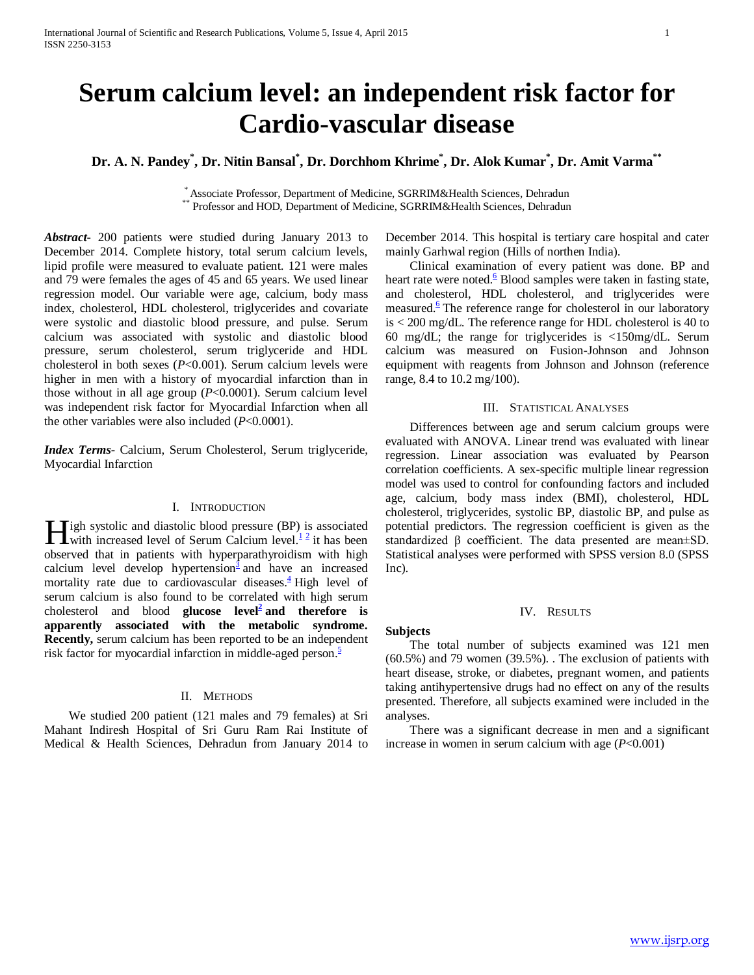# **Serum calcium level: an independent risk factor for Cardio-vascular disease**

# **Dr. A. N. Pandey\* , Dr. Nitin Bansal\* , Dr. Dorchhom Khrime\* , Dr. Alok Kumar\* , Dr. Amit Varma\*\***

\* Associate Professor, Department of Medicine, SGRRIM&Health Sciences, Dehradun \*\* Professor and HOD, Department of Medicine, SGRRIM&Health Sciences, Dehradun

*Abstract***-** 200 patients were studied during January 2013 to December 2014. Complete history, total serum calcium levels, lipid profile were measured to evaluate patient. 121 were males and 79 were females the ages of 45 and 65 years. We used linear regression model. Our variable were age, calcium, body mass index, cholesterol, HDL cholesterol, triglycerides and covariate were systolic and diastolic blood pressure, and pulse. Serum calcium was associated with systolic and diastolic blood pressure, serum cholesterol, serum triglyceride and HDL cholesterol in both sexes (*P*<0.001). Serum calcium levels were higher in men with a history of myocardial infarction than in those without in all age group (*P*<0.0001). Serum calcium level was independent risk factor for Myocardial Infarction when all the other variables were also included (*P*<0.0001).

*Index Terms*- Calcium, Serum Cholesterol, Serum triglyceride, Myocardial Infarction

# I. INTRODUCTION

**Tigh systolic and diastolic blood pressure (BP) is associated Here** is associated level of Serum Calcium level[.](http://hyper.ahajournals.org/content/34/3/484.full#ref-1)<sup>1[2](http://hyper.ahajournals.org/content/34/3/484.full#ref-2)</sup> it has been with increased level of Serum Calcium level.<sup>12</sup> it has been observed that in patients with hyperparathyroidism with high calcium level develop hypertension<sup>3</sup> and have an increased mortality rate due to cardiovascular diseases. $\frac{4}{3}$  High level of serum calcium is also found to be correlated with high serum cholesterol and blood **glucose** level<sup>2</sup> and therefore is **apparently associated with the metabolic syndrome. Recently,** serum calcium has been reported to be an independent risk factor for myocardial infarction in middle-aged person. $\frac{5}{5}$ 

# II. METHODS

 We studied 200 patient (121 males and 79 females) at Sri Mahant Indiresh Hospital of Sri Guru Ram Rai Institute of Medical & Health Sciences, Dehradun from January 2014 to December 2014. This hospital is tertiary care hospital and cater mainly Garhwal region (Hills of northen India).

 Clinical examination of every patient was done. BP and heart rate were noted. $\frac{6}{5}$  Blood samples were taken in fasting state, and cholesterol, HDL cholesterol, and triglycerides were measured.<sup>6</sup> The reference range for cholesterol in our laboratory is < 200 mg/dL. The reference range for HDL cholesterol is 40 to 60 mg/dL; the range for triglycerides is <150mg/dL. Serum calcium was measured on Fusion-Johnson and Johnson equipment with reagents from Johnson and Johnson (reference range, 8.4 to 10.2 mg/100).

# III. STATISTICAL ANALYSES

 Differences between age and serum calcium groups were evaluated with ANOVA. Linear trend was evaluated with linear regression. Linear association was evaluated by Pearson correlation coefficients. A sex-specific multiple linear regression model was used to control for confounding factors and included age, calcium, body mass index (BMI), cholesterol, HDL cholesterol, triglycerides, systolic BP, diastolic BP, and pulse as potential predictors. The regression coefficient is given as the standardized β coefficient. The data presented are mean±SD. Statistical analyses were performed with SPSS version 8.0 (SPSS Inc).

# IV. RESULTS

#### **Subjects**

 The total number of subjects examined was 121 men (60.5%) and 79 women (39.5%). . The exclusion of patients with heart disease, stroke, or diabetes, pregnant women, and patients taking antihypertensive drugs had no effect on any of the results presented. Therefore, all subjects examined were included in the analyses.

 There was a significant decrease in men and a significant increase in women in serum calcium with age (*P*<0.001)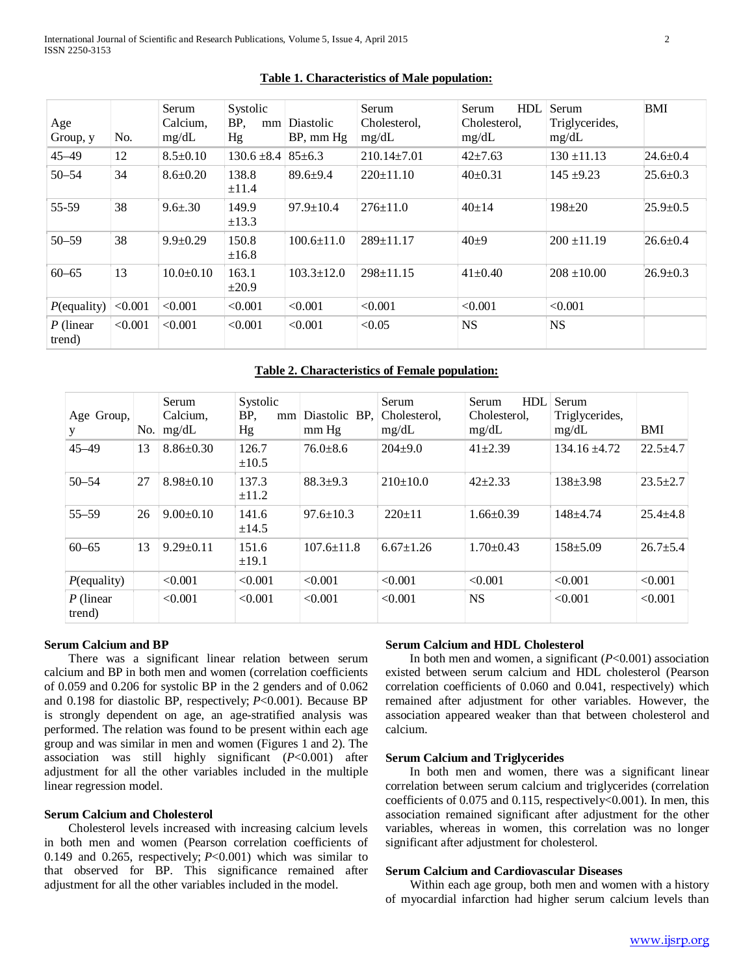| Age<br>Group, y       | No.     | Serum<br>Calcium,<br>mg/dL | Systolic<br>BP.<br>mm<br>Hg | <b>Diastolic</b><br>BP, mm Hg | Serum<br>Cholesterol,<br>mg/dL | <b>HDL</b><br>Serum<br>Cholesterol.<br>mg/dL | Serum<br>Triglycerides,<br>mg/dL | <b>BMI</b>     |
|-----------------------|---------|----------------------------|-----------------------------|-------------------------------|--------------------------------|----------------------------------------------|----------------------------------|----------------|
| $45 - 49$             | 12      | $8.5 \pm 0.10$             | $130.6 \pm 8.4$             | $85 \pm 6.3$                  | $210.14 \pm 7.01$              | $42 \pm 7.63$                                | $130 \pm 11.13$                  | $24.6 \pm 0.4$ |
| $50 - 54$             | 34      | $8.6 \pm 0.20$             | 138.8<br>$\pm 11.4$         | $89.6 + 9.4$                  | $220+11.10$                    | $40\pm0.31$                                  | $145 + 9.23$                     | $25.6 \pm 0.3$ |
| 55-59                 | 38      | $9.6 \pm .30$              | 149.9<br>$\pm$ 13.3         | $97.9 \pm 10.4$               | $276 \pm 11.0$                 | $40 \pm 14$                                  | $198 + 20$                       | $25.9 \pm 0.5$ |
| $50 - 59$             | 38      | $9.9 \pm 0.29$             | 150.8<br>±16.8              | $100.6 \pm 11.0$              | $289 \pm 11.17$                | $40\pm9$                                     | $200 \pm 11.19$                  | $26.6 \pm 0.4$ |
| $60 - 65$             | 13      | $10.0+0.10$                | 163.1<br>$\pm 20.9$         | $103.3 \pm 12.0$              | $298 \pm 11.15$                | $41 \pm 0.40$                                | $208 + 10.00$                    | $26.9 \pm 0.3$ |
| $P$ (equality)        | < 0.001 | < 0.001                    | < 0.001                     | < 0.001                       | < 0.001                        | < 0.001                                      | < 0.001                          |                |
| $P$ (linear<br>trend) | < 0.001 | < 0.001                    | < 0.001                     | < 0.001                       | < 0.05                         | <b>NS</b>                                    | <b>NS</b>                        |                |

# **Table 1. Characteristics of Male population:**

# **Table 2. Characteristics of Female population:**

| Age Group,            | No. | Serum<br>Calcium,<br>mg/dL | Systolic<br>BP,<br>mm<br>Hg | Diastolic BP.<br>mm Hg | Serum<br>Cholesterol.<br>mg/dL | <b>HDL</b><br>Serum<br>Cholesterol.<br>mg/dL | Serum<br>Triglycerides,<br>mg/dL | <b>BMI</b>     |
|-----------------------|-----|----------------------------|-----------------------------|------------------------|--------------------------------|----------------------------------------------|----------------------------------|----------------|
| $45 - 49$             | 13  | $8.86 \pm 0.30$            | 126.7<br>$\pm 10.5$         | $76.0 \pm 8.6$         | $204 \pm 9.0$                  | $41 \pm 2.39$                                | $134.16 \pm 4.72$                | $22.5 \pm 4.7$ |
| $50 - 54$             | 27  | $8.98 \pm 0.10$            | 137.3<br>$\pm 11.2$         | $88.3+9.3$             | $210\pm 10.0$                  | $42 + 2.33$                                  | $138 \pm 3.98$                   | $23.5 \pm 2.7$ |
| $55 - 59$             | 26  | $9.00 \pm 0.10$            | 141.6<br>$\pm 14.5$         | $97.6 \pm 10.3$        | $220 \pm 11$                   | $1.66 \pm 0.39$                              | $148 + 4.74$                     | $25.4 \pm 4.8$ |
| $60 - 65$             | 13  | $9.29 + 0.11$              | 151.6<br>$\pm 19.1$         | $107.6 \pm 11.8$       | $6.67 \pm 1.26$                | $1.70+0.43$                                  | $158 + 5.09$                     | $26.7 \pm 5.4$ |
| $P$ (equality)        |     | < 0.001                    | < 0.001                     | < 0.001                | < 0.001                        | < 0.001                                      | < 0.001                          | < 0.001        |
| $P$ (linear<br>trend) |     | < 0.001                    | < 0.001                     | < 0.001                | < 0.001                        | <b>NS</b>                                    | < 0.001                          | < 0.001        |

## **Serum Calcium and BP**

 There was a significant linear relation between serum calcium and BP in both men and women (correlation coefficients of 0.059 and 0.206 for systolic BP in the 2 genders and of 0.062 and 0.198 for diastolic BP, respectively; *P*<0.001). Because BP is strongly dependent on age, an age-stratified analysis was performed. The relation was found to be present within each age group and was similar in men and women (Figures 1 and 2). The association was still highly significant (*P*<0.001) after adjustment for all the other variables included in the multiple linear regression model.

## **Serum Calcium and Cholesterol**

 Cholesterol levels increased with increasing calcium levels in both men and women (Pearson correlation coefficients of 0.149 and 0.265, respectively; *P*<0.001) which was similar to that observed for BP. This significance remained after adjustment for all the other variables included in the model.

### **Serum Calcium and HDL Cholesterol**

In both men and women, a significant  $(P<0.001)$  association existed between serum calcium and HDL cholesterol (Pearson correlation coefficients of 0.060 and 0.041, respectively) which remained after adjustment for other variables. However, the association appeared weaker than that between cholesterol and calcium.

## **Serum Calcium and Triglycerides**

 In both men and women, there was a significant linear correlation between serum calcium and triglycerides (correlation coefficients of 0.075 and 0.115, respectively<0.001). In men, this association remained significant after adjustment for the other variables, whereas in women, this correlation was no longer significant after adjustment for cholesterol.

#### **Serum Calcium and Cardiovascular Diseases**

 Within each age group, both men and women with a history of myocardial infarction had higher serum calcium levels than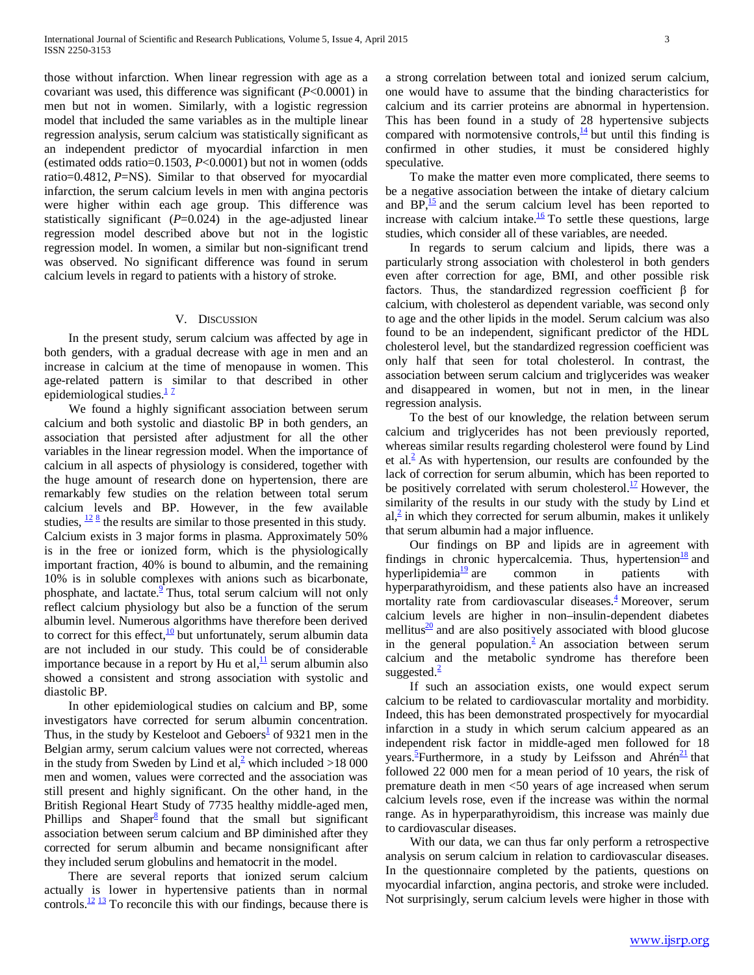those without infarction. When linear regression with age as a covariant was used, this difference was significant (*P*<0.0001) in men but not in women. Similarly, with a logistic regression model that included the same variables as in the multiple linear regression analysis, serum calcium was statistically significant as an independent predictor of myocardial infarction in men (estimated odds ratio=0.1503, *P*<0.0001) but not in women (odds ratio=0.4812, *P*=NS). Similar to that observed for myocardial infarction, the serum calcium levels in men with angina pectoris were higher within each age group. This difference was statistically significant (*P*=0.024) in the age-adjusted linear regression model described above but not in the logistic regression model. In women, a similar but non-significant trend was observed. No significant difference was found in serum calcium levels in regard to patients with a history of stroke.

### V. DISCUSSION

 In the present study, serum calcium was affected by age in both genders, with a gradual decrease with age in men and an increase in calcium at the time of menopause in women. This age-related pattern is similar to that described in other epidemiological studies. $\frac{1}{2}$ 

 We found a highly significant association between serum calcium and both systolic and diastolic BP in both genders, an association that persisted after adjustment for all the other variables in the linear regression model. When the importance of calcium in all aspects of physiology is considered, together with the huge amount of research done on hypertension, there are remarkably few studies on the relation between total serum calcium levels and BP. However, in the few available studies,  $\frac{12 \cdot 8}{12}$  $\frac{12 \cdot 8}{12}$  $\frac{12 \cdot 8}{12}$  $\frac{12 \cdot 8}{12}$  $\frac{12 \cdot 8}{12}$  the results are similar to those presented in this study. Calcium exists in 3 major forms in plasma. Approximately 50% is in the free or ionized form, which is the physiologically important fraction, 40% is bound to albumin, and the remaining 10% is in soluble complexes with anions such as bicarbonate, phosphate, and lactate.<sup>2</sup> Thus, total serum calcium will not only reflect calcium physiology but also be a function of the serum albumin level. Numerous algorithms have therefore been derived to correct for this effect, $\frac{10}{2}$  $\frac{10}{2}$  $\frac{10}{2}$  but unfortunately, serum albumin data are not included in our study. This could be of considerable importance because in a report by Hu et al, $\frac{11}{11}$  serum albumin also showed a consistent and strong association with systolic and diastolic BP.

 In other epidemiological studies on calcium and BP, some investigators have corrected for serum albumin concentration. Thus, in the study by Kesteloot and Geboers<sup> $\pm$ </sup> of 9321 men in the Belgian army, serum calcium values were not corrected, whereas in the study from Sweden by Lind et al, which included >18 000 men and women, values were corrected and the association was still present and highly significant. On the other hand, in the British Regional Heart Study of 7735 healthy middle-aged men, Phillips and Shaper $8$  found that the small but significant association between serum calcium and BP diminished after they corrected for serum albumin and became nonsignificant after they included serum globulins and hematocrit in the model.

 There are several reports that ionized serum calcium actually is lower in hypertensive patients than in normal controls. $\frac{12}{3}$  To reconcile this with our findings, because there is a strong correlation between total and ionized serum calcium, one would have to assume that the binding characteristics for calcium and its carrier proteins are abnormal in hypertension. This has been found in a study of 28 hypertensive subjects compared with normotensive controls, $\frac{14}{14}$  but until this finding is confirmed in other studies, it must be considered highly speculative.

 To make the matter even more complicated, there seems to be a negative association between the intake of dietary calcium and  $BP<sub>1</sub><sup>15</sup>$  and the serum calcium level has been reported to increase with calcium intake. $\frac{16}{10}$  To settle these questions, large studies, which consider all of these variables, are needed.

 In regards to serum calcium and lipids, there was a particularly strong association with cholesterol in both genders even after correction for age, BMI, and other possible risk factors. Thus, the standardized regression coefficient β for calcium, with cholesterol as dependent variable, was second only to age and the other lipids in the model. Serum calcium was also found to be an independent, significant predictor of the HDL cholesterol level, but the standardized regression coefficient was only half that seen for total cholesterol. In contrast, the association between serum calcium and triglycerides was weaker and disappeared in women, but not in men, in the linear regression analysis.

 To the best of our knowledge, the relation between serum calcium and triglycerides has not been previously reported, whereas similar results regarding cholesterol were found by Lind et al. $<sup>2</sup>$  As with hypertension, our results are confounded by the</sup> lack of correction for serum albumin, which has been reported to be positively correlated with serum cholesterol.<sup>17</sup> However, the similarity of the results in our study with the study by Lind et  $al<sup>2</sup>$  in which they corrected for serum albumin, makes it unlikely that serum albumin had a major influence.

 Our findings on BP and lipids are in agreement with findings in chronic hypercalcemia. Thus, hypertension $\frac{18}{8}$  and hyperlipidemia $\frac{19}{2}$  are common in patients with hyperparathyroidism, and these patients also have an increased mortality rate from cardiovascular disease[s.](http://hyper.ahajournals.org/content/34/3/484.full#ref-4) $\frac{4}{3}$  Moreover, serum calcium levels are higher in non–insulin-dependent diabetes mellitus $\frac{20}{3}$  and are also positively associated with blood glucose in the general population.<sup>2</sup> An association between serum calcium and the metabolic syndrome has therefore been suggested[.](http://hyper.ahajournals.org/content/34/3/484.full#ref-2) $\frac{2}{3}$ 

 If such an association exists, one would expect serum calcium to be related to cardiovascular mortality and morbidity. Indeed, this has been demonstrated prospectively for myocardial infarction in a study in which serum calcium appeared as an independent risk factor in middle-aged men followed for 18 years.<sup>5</sup> Furthermore, in a study by Leifsson and Ahrén<sup>[21](http://hyper.ahajournals.org/content/34/3/484.full#ref-21)</sup> that followed 22 000 men for a mean period of 10 years, the risk of premature death in men <50 years of age increased when serum calcium levels rose, even if the increase was within the normal range. As in hyperparathyroidism, this increase was mainly due to cardiovascular diseases.

 With our data, we can thus far only perform a retrospective analysis on serum calcium in relation to cardiovascular diseases. In the questionnaire completed by the patients, questions on myocardial infarction, angina pectoris, and stroke were included. Not surprisingly, serum calcium levels were higher in those with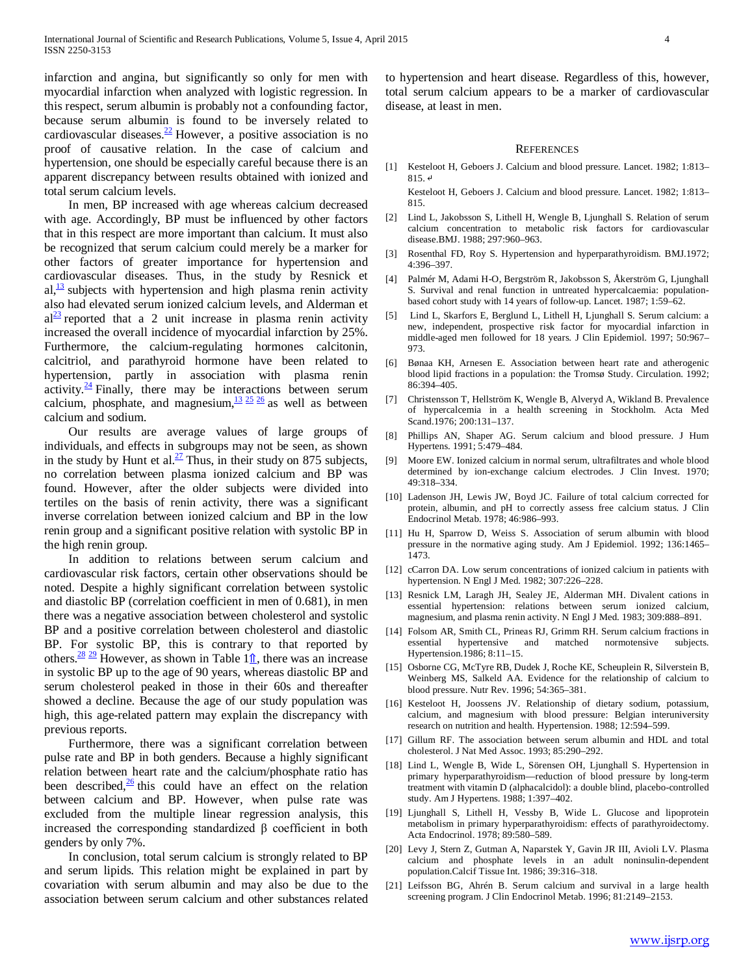infarction and angina, but significantly so only for men with myocardial infarction when analyzed with logistic regression. In this respect, serum albumin is probably not a confounding factor, because serum albumin is found to be inversely related to cardiovascular diseases. $\frac{22}{12}$  However, a positive association is no proof of causative relation. In the case of calcium and hypertension, one should be especially careful because there is an apparent discrepancy between results obtained with ionized and total serum calcium levels.

 In men, BP increased with age whereas calcium decreased with age. Accordingly, BP must be influenced by other factors that in this respect are more important than calcium. It must also be recognized that serum calcium could merely be a marker for other factors of greater importance for hypertension and cardiovascular diseases. Thus, in the study by Resnick et  $al$ ,  $\frac{13}{2}$  subjects with hypertension and high plasma renin activity also had elevated serum ionized calcium levels, and Alderman et  $al<sup>23</sup>$  reported that a 2 unit increase in plasma renin activity increased the overall incidence of myocardial infarction by 25%. Furthermore, the calcium-regulating hormones calcitonin, calcitriol, and parathyroid hormone have been related to hypertension, partly in association with plasma renin activity. $\frac{24}{7}$  $\frac{24}{7}$  $\frac{24}{7}$  Finally, there may be interactions between serum calcium, phosphate, and magnesium,  $\frac{13}{25}$  $\frac{13}{25}$  $\frac{13}{25}$   $\frac{25}{26}$  $\frac{25}{26}$  $\frac{25}{26}$  as well as between calcium and sodium.

 Our results are average values of large groups of individuals, and effects in subgroups may not be seen, as shown in the study by Hunt et al. $\frac{27}{1}$  Thus, in their study on 875 subjects, no correlation between plasma ionized calcium and BP was found. However, after the older subjects were divided into tertiles on the basis of renin activity, there was a significant inverse correlation between ionized calcium and BP in the low renin group and a significant positive relation with systolic BP in the high renin group.

 In addition to relations between serum calcium and cardiovascular risk factors, certain other observations should be noted. Despite a highly significant correlation between systolic and diastolic BP (correlation coefficient in men of 0.681), in men there was a negative association between cholesterol and systolic BP and a positive correlation between cholesterol and diastolic BP. For systolic BP, this is contrary to that reported by others.<sup>28</sup> <sup>[29](http://hyper.ahajournals.org/content/34/3/484.full#ref-29)</sup> However, as shown in Table 1 $\hat{\mathbb{I}}$ , there was an increase in systolic BP up to the age of 90 years, whereas diastolic BP and serum cholesterol peaked in those in their 60s and thereafter showed a decline. Because the age of our study population was high, this age-related pattern may explain the discrepancy with previous reports.

 Furthermore, there was a significant correlation between pulse rate and BP in both genders. Because a highly significant relation between heart rate and the calcium/phosphate ratio has been described, $\frac{26}{6}$  $\frac{26}{6}$  $\frac{26}{6}$  this could have an effect on the relation between calcium and BP. However, when pulse rate was excluded from the multiple linear regression analysis, this increased the corresponding standardized β coefficient in both genders by only 7%.

 In conclusion, total serum calcium is strongly related to BP and serum lipids. This relation might be explained in part by covariation with serum albumin and may also be due to the association between serum calcium and other substances related to hypertension and heart disease. Regardless of this, however, total serum calcium appears to be a marker of cardiovascular disease, at least in men.

#### **REFERENCES**

[1] Kesteloot H, Geboers J. Calcium and blood pressure. Lancet. 1982; 1:813– 815. ↵

Kesteloot H, Geboers J. Calcium and blood pressure. Lancet. 1982; 1:813– 815.

- [2] Lind L, Jakobsson S, Lithell H, Wengle B, Ljunghall S. Relation of serum calcium concentration to metabolic risk factors for cardiovascular disease.BMJ. 1988; 297:960–963.
- [3] Rosenthal FD, Roy S. Hypertension and hyperparathyroidism. BMJ.1972; 4:396–397.
- [4] Palmér M, Adami H-O, Bergström R, Jakobsson S, Åkerström G, Ljunghall S. Survival and renal function in untreated hypercalcaemia: populationbased cohort study with 14 years of follow-up. Lancet. 1987; 1:59–62.
- [5] Lind L, Skarfors E, Berglund L, Lithell H, Ljunghall S. Serum calcium: a new, independent, prospective risk factor for myocardial infarction in middle-aged men followed for 18 years. J Clin Epidemiol. 1997; 50:967– 973.
- [6] Bønaa KH, Arnesen E. Association between heart rate and atherogenic blood lipid fractions in a population: the Tromsø Study. Circulation. 1992; 86:394–405.
- [7] Christensson T, Hellström K, Wengle B, Alveryd A, Wikland B. Prevalence of hypercalcemia in a health screening in Stockholm. Acta Med Scand.1976; 200:131–137.
- [8] Phillips AN, Shaper AG. Serum calcium and blood pressure. J Hum Hypertens. 1991; 5:479–484.
- [9] Moore EW. Ionized calcium in normal serum, ultrafiltrates and whole blood determined by ion-exchange calcium electrodes. J Clin Invest. 1970; 49:318–334.
- [10] Ladenson JH, Lewis JW, Boyd JC. Failure of total calcium corrected for protein, albumin, and pH to correctly assess free calcium status. J Clin Endocrinol Metab. 1978; 46:986–993.
- [11] Hu H, Sparrow D, Weiss S. Association of serum albumin with blood pressure in the normative aging study. Am J Epidemiol. 1992; 136:1465– 1473.
- [12] cCarron DA. Low serum concentrations of ionized calcium in patients with hypertension. N Engl J Med. 1982; 307:226–228.
- [13] Resnick LM, Laragh JH, Sealey JE, Alderman MH. Divalent cations in essential hypertension: relations between serum ionized calcium, magnesium, and plasma renin activity. N Engl J Med. 1983; 309:888–891.
- [14] Folsom AR, Smith CL, Prineas RJ, Grimm RH. Serum calcium fractions in essential hypertensive and matched normotensive subjects. Hypertension.1986; 8:11–15.
- [15] Osborne CG, McTyre RB, Dudek J, Roche KE, Scheuplein R, Silverstein B, Weinberg MS, Salkeld AA. Evidence for the relationship of calcium to blood pressure. Nutr Rev. 1996; 54:365–381.
- [16] Kesteloot H, Joossens JV. Relationship of dietary sodium, potassium, calcium, and magnesium with blood pressure: Belgian interuniversity research on nutrition and health. Hypertension. 1988; 12:594–599.
- [17] Gillum RF. The association between serum albumin and HDL and total cholesterol. J Nat Med Assoc. 1993; 85:290–292.
- [18] Lind L, Wengle B, Wide L, Sörensen OH, Ljunghall S. Hypertension in primary hyperparathyroidism—reduction of blood pressure by long-term treatment with vitamin D (alphacalcidol): a double blind, placebo-controlled study. Am J Hypertens. 1988; 1:397–402.
- [19] Ljunghall S, Lithell H, Vessby B, Wide L. Glucose and lipoprotein metabolism in primary hyperparathyroidism: effects of parathyroidectomy. Acta Endocrinol. 1978; 89:580–589.
- [20] Levy J, Stern Z, Gutman A, Naparstek Y, Gavin JR III, Avioli LV. Plasma calcium and phosphate levels in an adult noninsulin-dependent population.Calcif Tissue Int. 1986; 39:316–318.
- [21] Leifsson BG, Ahrén B. Serum calcium and survival in a large health screening program. J Clin Endocrinol Metab. 1996; 81:2149–2153.